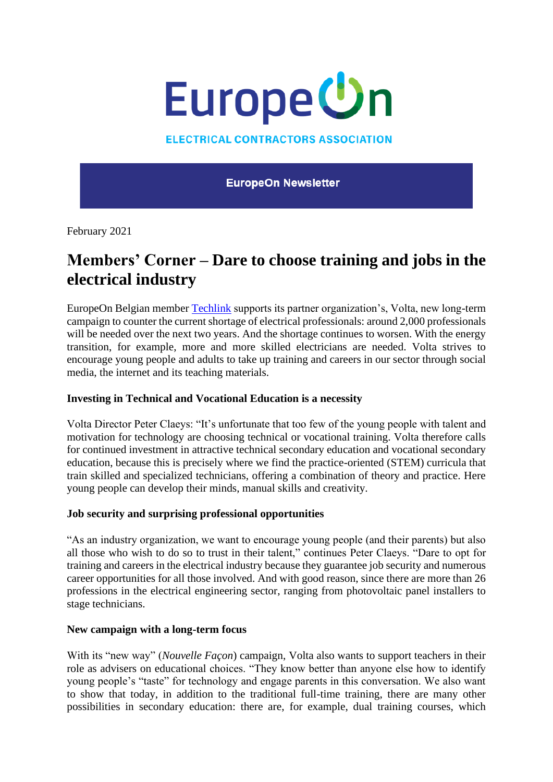

**ELECTRICAL CONTRACTORS ASSOCIATION** 

**EuropeOn Newsletter** 

February 2021

# **Members' Corner – Dare to choose training and jobs in the electrical industry**

EuropeOn Belgian member [Techlink](https://www.techlink.be/fr/home) supports its partner organization's, Volta, new long-term campaign to counter the current shortage of electrical professionals: around 2,000 professionals will be needed over the next two years. And the shortage continues to worsen. With the energy transition, for example, more and more skilled electricians are needed. Volta strives to encourage young people and adults to take up training and careers in our sector through social media, the internet and its teaching materials.

## **Investing in Technical and Vocational Education is a necessity**

Volta Director Peter Claeys: "It's unfortunate that too few of the young people with talent and motivation for technology are choosing technical or vocational training. Volta therefore calls for continued investment in attractive technical secondary education and vocational secondary education, because this is precisely where we find the practice-oriented (STEM) curricula that train skilled and specialized technicians, offering a combination of theory and practice. Here young people can develop their minds, manual skills and creativity.

## **Job security and surprising professional opportunities**

"As an industry organization, we want to encourage young people (and their parents) but also all those who wish to do so to trust in their talent," continues Peter Claeys. "Dare to opt for training and careers in the electrical industry because they guarantee job security and numerous career opportunities for all those involved. And with good reason, since there are more than 26 professions in the electrical engineering sector, ranging from photovoltaic panel installers to stage technicians.

#### **New campaign with a long-term focus**

With its "new way" (*Nouvelle Façon*) campaign, Volta also wants to support teachers in their role as advisers on educational choices. "They know better than anyone else how to identify young people's "taste" for technology and engage parents in this conversation. We also want to show that today, in addition to the traditional full-time training, there are many other possibilities in secondary education: there are, for example, dual training courses, which